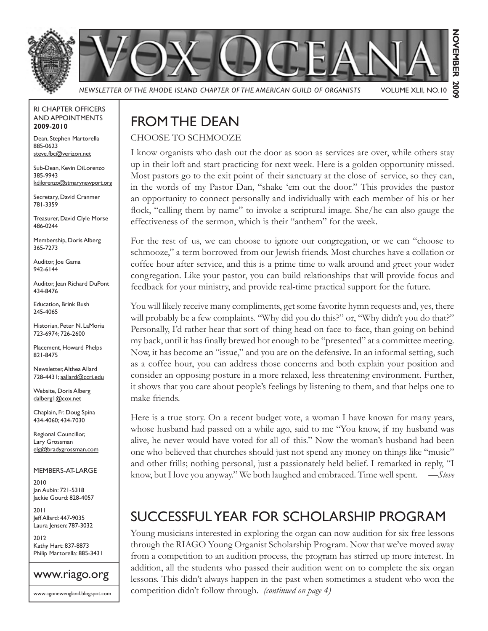

*NEWSLETTER OF THE RHODE ISLAND CHAPTER OF THE AMERICAN GUILD OF ORGANISTS* VOLUME XLII, NO.10

# NOVEMBER **NOVEMBER 2009** 2002

#### RI CHAPTER OFFICERS AND APPOINTMENTS **2009-2010**

Dean, Stephen Martorella 885-0623 steve.fbc@verizon.net

Sub-Dean, Kevin DiLorenzo 385-9943 kdilorenzo@stmarynewport.org

Secretary, David Cranmer 781-3359

Treasurer, David Clyle Morse 486-0244

Membership, Doris Alberg 365-7273

Auditor, Joe Gama 942-6144

Auditor, Jean Richard DuPont 434-8476

Education, Brink Bush 245-4065

Historian, Peter N. LaMoria 723-6974; 726-2600

Placement, Howard Phelps 821-8475

Newsletter, Althea Allard 728-4431; aallard@ccri.edu

Website, Doris Alberg dalberg1@cox.net

Chaplain, Fr. Doug Spina 434-4060; 434-7030

Regional Councillor, Lary Grossman elg@bradygrossman.com

#### MEMBERS-AT-LARGE

2010 Jan Aubin: 721-5318 Jackie Gourd: 828-4057

2011 Jeff Allard: 447-9035 Laura Jensen: 787-3032

2012 Kathy Hart: 837-8873 Philip Martorella: 885-3431



# FROM THE DEAN

### CHOOSE TO SCHMOOZE

I know organists who dash out the door as soon as services are over, while others stay up in their loft and start practicing for next week. Here is a golden opportunity missed. Most pastors go to the exit point of their sanctuary at the close of service, so they can, in the words of my Pastor Dan, "shake 'em out the door." This provides the pastor an opportunity to connect personally and individually with each member of his or her flock, "calling them by name" to invoke a scriptural image. She/he can also gauge the effectiveness of the sermon, which is their "anthem" for the week.

For the rest of us, we can choose to ignore our congregation, or we can "choose to schmooze," a term borrowed from our Jewish friends. Most churches have a collation or coffee hour after service, and this is a prime time to walk around and greet your wider congregation. Like your pastor, you can build relationships that will provide focus and feedback for your ministry, and provide real-time practical support for the future.

You will likely receive many compliments, get some favorite hymn requests and, yes, there will probably be a few complaints. "Why did you do this?" or, "Why didn't you do that?" Personally, I'd rather hear that sort of thing head on face-to-face, than going on behind my back, until it has finally brewed hot enough to be "presented" at a committee meeting. Now, it has become an "issue," and you are on the defensive. In an informal setting, such as a coffee hour, you can address those concerns and both explain your position and consider an opposing posture in a more relaxed, less threatening environment. Further, it shows that you care about people's feelings by listening to them, and that helps one to make friends.

Here is a true story. On a recent budget vote, a woman I have known for many years, whose husband had passed on a while ago, said to me "You know, if my husband was alive, he never would have voted for all of this." Now the woman's husband had been one who believed that churches should just not spend any money on things like "music" and other frills; nothing personal, just a passionately held belief. I remarked in reply, "I know, but I love you anyway." We both laughed and embraced. Time well spent. —*Steve*

# SUCCESSFUL YEAR FOR SCHOLARSHIP PROGRAM

Young musicians interested in exploring the organ can now audition for six free lessons through the RIAGO Young Organist Scholarship Program. Now that we've moved away from a competition to an audition process, the program has stirred up more interest. In addition, all the students who passed their audition went on to complete the six organ lessons. This didn't always happen in the past when sometimes a student who won the competition didn't follow through. *(continued on page 4)*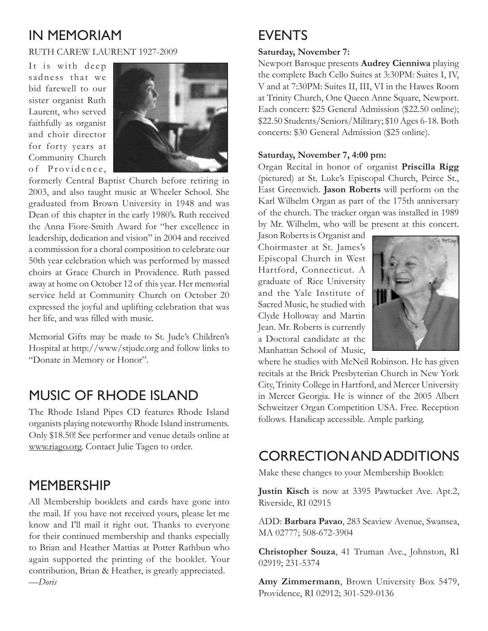### IN MEMORIAM

#### RUTH CAREW LAURENT 1927-2009

It is with deep sadness that we bid farewell to our sister organist Ruth Laurent, who served faithfully as organist and choir director for forty years at Community Church of Providence,



formerly Central Baptist Church before retiring in 2003, and also taught music at Wheeler School. She graduated from Brown University in 1948 and was Dean of this chapter in the early 1980's. Ruth received the Anna Fiore-Smith Award for "her excellence in leadership, dedication and vision" in 2004 and received a commission for a choral composition to celebrate our 50th year celebration which was performed by massed choirs at Grace Church in Providence. Ruth passed away at home on October 12 of this year. Her memorial service held at Community Church on October 20 expressed the joyful and uplifting celebration that was her life, and was filled with music.

Memorial Gifts may be made to St. Jude's Children's Hospital at http://www/stjude.org and follow links to "Donate in Memory or Honor".

### MUSIC OF RHODE ISLAND

The Rhode Island Pipes CD features Rhode Island organists playing noteworthy Rhode Island instruments. Only \$18.50! See performer and venue details online at www.riago.org. Contact Julie Tagen to order.

### MEMBERSHIP

All Membership booklets and cards have gone into the mail. If you have not received yours, please let me know and I'll mail it right out. Thanks to everyone for their continued membership and thanks especially to Brian and Heather Mattias at Potter Rathbun who again supported the printing of the booklet. Your contribution, Brian & Heather, is greatly appreciated. —*Doris*

## EVENTS

#### **Saturday, November 7:**

Newport Baroque presents **Audrey Cienniwa** playing the complete Bach Cello Suites at 3:30PM: Suites I, IV, V and at 7:30PM: Suites II, III, VI in the Hawes Room at Trinity Church, One Queen Anne Square, Newport. Each concert: \$25 General Admission (\$22.50 online); \$22.50 Students/Seniors/Military; \$10 Ages 6-18. Both concerts: \$30 General Admission (\$25 online).

#### **Saturday, November 7, 4:00 pm:**

Organ Recital in honor of organist **Priscilla Rigg**  (pictured) at St. Luke's Episcopal Church, Peirce St., East Greenwich. **Jason Roberts** will perform on the Karl Wilhelm Organ as part of the 175th anniversary of the church. The tracker organ was installed in 1989 by Mr. Wilhelm, who will be present at this concert.

Jason Roberts is Organist and Choirmaster at St. James's Episcopal Church in West Hartford, Connecticut. A graduate of Rice University and the Yale Institute of Sacred Music, he studied with Clyde Holloway and Martin Jean. Mr. Roberts is currently a Doctoral candidate at the Manhattan School of Music,



where he studies with McNeil Robinson. He has given recitals at the Brick Presbyterian Church in New York City, Trinity College in Hartford, and Mercer University in Mercer Georgia. He is winner of the 2005 Albert Schweitzer Organ Competition USA. Free. Reception follows. Handicap accessible. Ample parking.

### CORRECTION AND ADDITIONS

Make these changes to your Membership Booklet:

**Justin Kisch** is now at 3395 Pawtucket Ave. Apt.2, Riverside, RI 02915

ADD: **Barbara Pavao**, 283 Seaview Avenue, Swansea, MA 02777; 508-672-3904

**Christopher Souza**, 41 Truman Ave., Johnston, RI 02919; 231-5374

**Amy Zimmermann**, Brown University Box 5479, Providence, RI 02912; 301-529-0136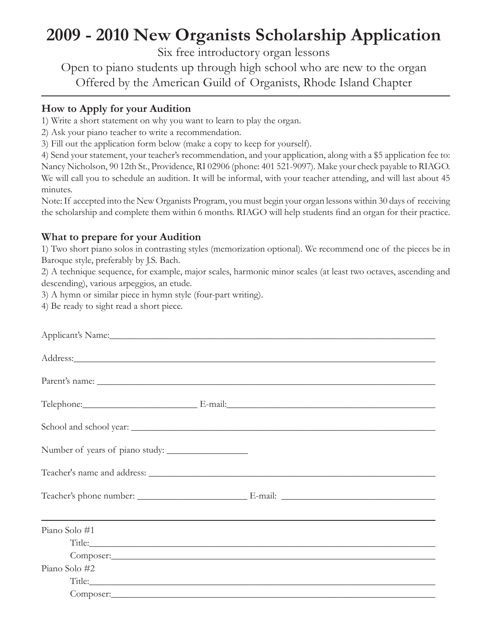# **2009 - 2010 New Organists Scholarship Application**

Six free introductory organ lessons

Open to piano students up through high school who are new to the organ Offered by the American Guild of Organists, Rhode Island Chapter

### **How to Apply for your Audition**

1) Write a short statement on why you want to learn to play the organ.

2) Ask your piano teacher to write a recommendation.

3) Fill out the application form below (make a copy to keep for yourself).

4) Send your statement, your teacher's recommendation, and your application, along with a \$5 application fee to: Nancy Nicholson, 90 12th St., Providence, RI 02906 (phone: 401 521-9097). Make your check payable to RIAGO. We will call you to schedule an audition. It will be informal, with your teacher attending, and will last about 45 minutes.

Note: If accepted into the New Organists Program, you must begin your organ lessons within 30 days of receiving the scholarship and complete them within 6 months. RIAGO will help students find an organ for their practice.

### **What to prepare for your Audition**

1) Two short piano solos in contrasting styles (memorization optional). We recommend one of the pieces be in Baroque style, preferably by J.S. Bach.

2) A technique sequence, for example, major scales, harmonic minor scales (at least two octaves, ascending and descending), various arpeggios, an etude.

3) A hymn or similar piece in hymn style (four-part writing).

4) Be ready to sight read a short piece.

| Applicant's Name: 1988 Manual Contract of the Manual Contract of the Manual Contract of the Manual Contract of the Manual Contract of the Manual Contract of the Manual Contract of the Manual Contract of the Manual Contract |                                                                                                                                                                                                                                |  |
|--------------------------------------------------------------------------------------------------------------------------------------------------------------------------------------------------------------------------------|--------------------------------------------------------------------------------------------------------------------------------------------------------------------------------------------------------------------------------|--|
|                                                                                                                                                                                                                                |                                                                                                                                                                                                                                |  |
|                                                                                                                                                                                                                                |                                                                                                                                                                                                                                |  |
| Telephone: E-mail: E-mail:                                                                                                                                                                                                     |                                                                                                                                                                                                                                |  |
|                                                                                                                                                                                                                                |                                                                                                                                                                                                                                |  |
| Number of years of piano study:                                                                                                                                                                                                |                                                                                                                                                                                                                                |  |
|                                                                                                                                                                                                                                |                                                                                                                                                                                                                                |  |
|                                                                                                                                                                                                                                |                                                                                                                                                                                                                                |  |
| Piano Solo #1                                                                                                                                                                                                                  |                                                                                                                                                                                                                                |  |
|                                                                                                                                                                                                                                | Title: The contract of the contract of the contract of the contract of the contract of the contract of the contract of the contract of the contract of the contract of the contract of the contract of the contract of the con |  |
|                                                                                                                                                                                                                                |                                                                                                                                                                                                                                |  |
| Piano Solo #2                                                                                                                                                                                                                  |                                                                                                                                                                                                                                |  |
|                                                                                                                                                                                                                                | Title: The contract of the contract of the contract of the contract of the contract of the contract of the contract of the contract of the contract of the contract of the contract of the contract of the contract of the con |  |
|                                                                                                                                                                                                                                |                                                                                                                                                                                                                                |  |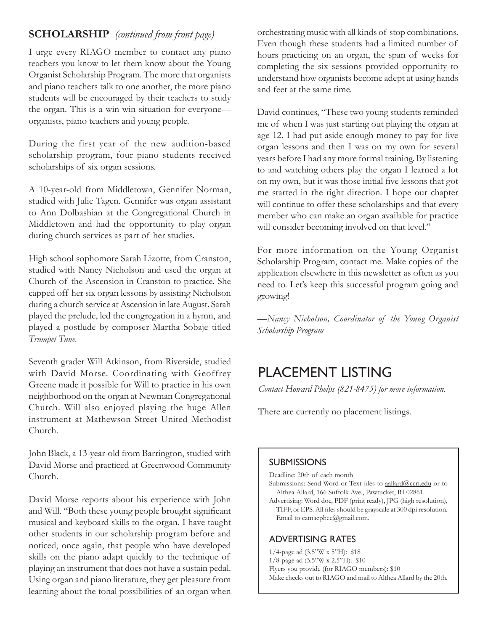### **SCHOLARSHIP** *(continued from front page)*

I urge every RIAGO member to contact any piano teachers you know to let them know about the Young Organist Scholarship Program. The more that organists and piano teachers talk to one another, the more piano students will be encouraged by their teachers to study the organ. This is a win-win situation for everyone organists, piano teachers and young people.

During the first year of the new audition-based scholarship program, four piano students received scholarships of six organ sessions.

A 10-year-old from Middletown, Gennifer Norman, studied with Julie Tagen. Gennifer was organ assistant to Ann Dolbashian at the Congregational Church in Middletown and had the opportunity to play organ during church services as part of her studies.

High school sophomore Sarah Lizotte, from Cranston, studied with Nancy Nicholson and used the organ at Church of the Ascension in Cranston to practice. She capped off her six organ lessons by assisting Nicholson during a church service at Ascension in late August. Sarah played the prelude, led the congregation in a hymn, and played a postlude by composer Martha Sobaje titled *Trumpet Tune*.

Seventh grader Will Atkinson, from Riverside, studied with David Morse. Coordinating with Geoffrey Greene made it possible for Will to practice in his own neighborhood on the organ at Newman Congregational Church. Will also enjoyed playing the huge Allen instrument at Mathewson Street United Methodist Church.

John Black, a 13-year-old from Barrington, studied with David Morse and practiced at Greenwood Community Church.

David Morse reports about his experience with John and Will. "Both these young people brought significant musical and keyboard skills to the organ. I have taught other students in our scholarship program before and noticed, once again, that people who have developed skills on the piano adapt quickly to the technique of playing an instrument that does not have a sustain pedal. Using organ and piano literature, they get pleasure from learning about the tonal possibilities of an organ when

orchestrating music with all kinds of stop combinations. Even though these students had a limited number of hours practicing on an organ, the span of weeks for completing the six sessions provided opportunity to understand how organists become adept at using hands and feet at the same time.

David continues, "These two young students reminded me of when I was just starting out playing the organ at age 12. I had put aside enough money to pay for five organ lessons and then I was on my own for several years before I had any more formal training. By listening to and watching others play the organ I learned a lot on my own, but it was those initial five lessons that got me started in the right direction. I hope our chapter will continue to offer these scholarships and that every member who can make an organ available for practice will consider becoming involved on that level."

For more information on the Young Organist Scholarship Program, contact me. Make copies of the application elsewhere in this newsletter as often as you need to. Let's keep this successful program going and growing!

*—Nancy Nicholson, Coordinator of the Young Organist Scholarship Program*

### PLACEMENT LISTING

*Contact Howard Phelps (821-8475) for more information.*

There are currently no placement listings.

#### **SUBMISSIONS**

Deadline: 20th of each month

- Submissions: Send Word or Text files to aallard@ccri.edu or to Althea Allard, 166 Suffolk Ave., Pawtucket, RI 02861.
- Advertising: Word doc, PDF (print ready), JPG (high resolution), TIFF, or EPS. All files should be grayscale at 300 dpi resolution. Email to camacphee@gmail.com.

#### ADVERTISING RATES

- 1/4-page ad (3.5"W x 5"H): \$18
- 1/8-page ad (3.5"W x 2.5"H): \$10
- Flyers you provide (for RIAGO members): \$10
- Make checks out to RIAGO and mail to Althea Allard by the 20th.